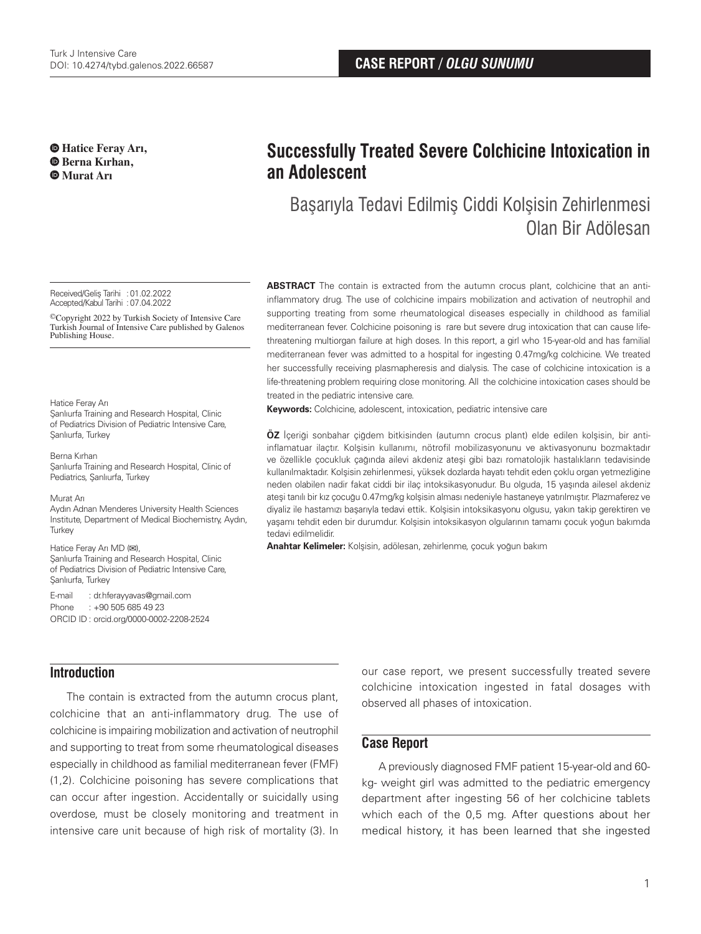**Hatice Feray Arı, Berna Kırhan, Murat Arı**

#### Received/Geliş Tarihi :01.02.2022 Accepted/Kabul Tarihi : 07.04.2022

©Copyright 2022 by Turkish Society of Intensive Care Turkish Journal of Intensive Care published by Galenos Publishing House.

### Hatice Feray Arı

Sanlıurfa Training and Research Hospital, Clinic of Pediatrics Division of Pediatric Intensive Care, Şanlıurfa, Turkey

Berna Kırhan Sanlıurfa Training and Research Hospital, Clinic of Pediatrics, Şanlıurfa, Turkey

#### Murat Arı

Aydın Adnan Menderes University Health Sciences Institute, Department of Medical Biochemistry, Aydın, **Turkey** 

### Hatice Feray Arı MD (**✉**),

Sanlıurfa Training and Research Hospital, Clinic of Pediatrics Division of Pediatric Intensive Care, Şanlıurfa, Turkey

### E-mail : dr.hferayyavas@gmail.com Phone : +90 505 685 49 23 ORCID ID : orcid.org/0000-0002-2208-2524

# **Successfully Treated Severe Colchicine Intoxication in an Adolescent**

# Başarıyla Tedavi Edilmiş Ciddi Kolşisin Zehirlenmesi Olan Bir Adölesan

**ABSTRACT** The contain is extracted from the autumn crocus plant, colchicine that an antiinflammatory drug. The use of colchicine impairs mobilization and activation of neutrophil and supporting treating from some rheumatological diseases especially in childhood as familial mediterranean fever. Colchicine poisoning is rare but severe drug intoxication that can cause lifethreatening multiorgan failure at high doses. In this report, a girl who 15-year-old and has familial mediterranean fever was admitted to a hospital for ingesting 0.47mg/kg colchicine. We treated her successfully receiving plasmapheresis and dialysis. The case of colchicine intoxication is a life-threatening problem requiring close monitoring. All the colchicine intoxication cases should be treated in the pediatric intensive care.

**Keywords:** Colchicine, adolescent, intoxication, pediatric intensive care

**ÖZ** İçeriği sonbahar çiğdem bitkisinden (autumn crocus plant) elde edilen kolşisin, bir antiinflamatuar ilaçtır. Kolşisin kullanımı, nötrofil mobilizasyonunu ve aktivasyonunu bozmaktadır ve özellikle çocukluk çağında ailevi akdeniz ateşi gibi bazı romatolojik hastalıkların tedavisinde kullanılmaktadır. Kolşisin zehirlenmesi, yüksek dozlarda hayatı tehdit eden çoklu organ yetmezliğine neden olabilen nadir fakat ciddi bir ilaç intoksikasyonudur. Bu olguda, 15 yaşında ailesel akdeniz ateşi tanılı bir kız çocuğu 0.47mg/kg kolşisin alması nedeniyle hastaneye yatırılmıştır. Plazmaferez ve diyaliz ile hastamızı başarıyla tedavi ettik. Kolşisin intoksikasyonu olgusu, yakın takip gerektiren ve yaşamı tehdit eden bir durumdur. Kolşisin intoksikasyon olgularının tamamı çocuk yoğun bakımda tedavi edilmelidir.

**Anahtar Kelimeler:** Kolşisin, adölesan, zehirlenme, çocuk yoğun bakım

## **Introduction**

The contain is extracted from the autumn crocus plant, colchicine that an anti-inflammatory drug. The use of colchicine is impairing mobilization and activation of neutrophil and supporting to treat from some rheumatological diseases especially in childhood as familial mediterranean fever (FMF) (1,2). Colchicine poisoning has severe complications that can occur after ingestion. Accidentally or suicidally using overdose, must be closely monitoring and treatment in intensive care unit because of high risk of mortality (3). In

our case report, we present successfully treated severe colchicine intoxication ingested in fatal dosages with observed all phases of intoxication.

## **Case Report**

A previously diagnosed FMF patient 15-year-old and 60 kg- weight girl was admitted to the pediatric emergency department after ingesting 56 of her colchicine tablets which each of the 0,5 mg. After questions about her medical history, it has been learned that she ingested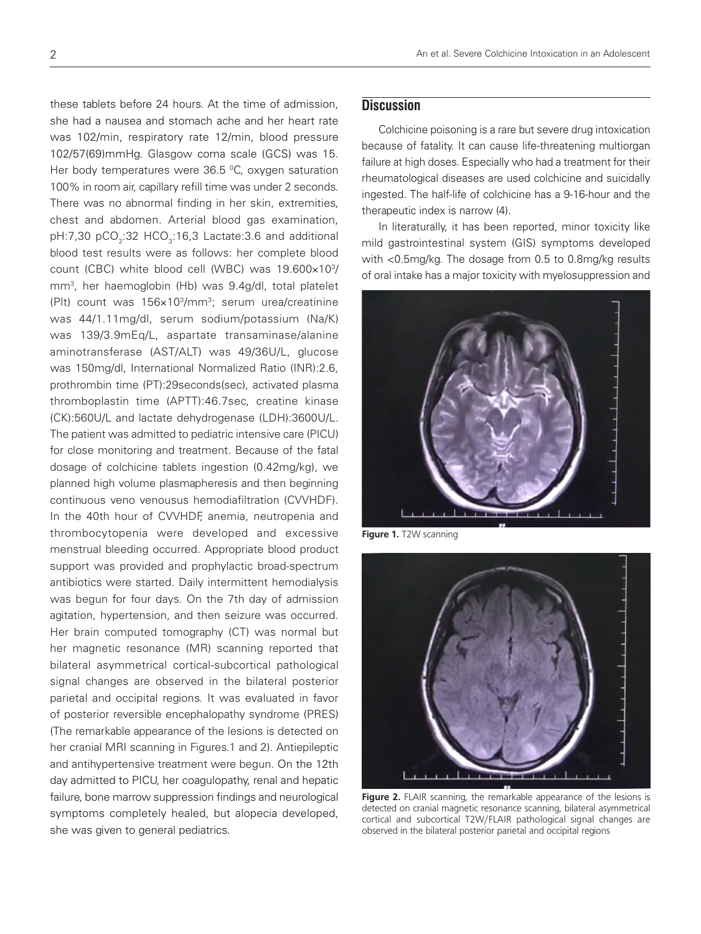these tablets before 24 hours. At the time of admission, she had a nausea and stomach ache and her heart rate was 102/min, respiratory rate 12/min, blood pressure 102/57(69)mmHg. Glasgow coma scale (GCS) was 15. Her body temperatures were  $36.5$  °C, oxygen saturation 100% in room air, capillary refill time was under 2 seconds. There was no abnormal finding in her skin, extremities, chest and abdomen. Arterial blood gas examination, pH:7,30 pCO<sub>2</sub>:32 HCO<sub>3</sub>:16,3 Lactate:3.6 and additional blood test results were as follows: her complete blood count (CBC) white blood cell (WBC) was 19.600×103 / mm3 , her haemoglobin (Hb) was 9.4g/dl, total platelet (Plt) count was 156×103/mm3; serum urea/creatinine was 44/1.11mg/dl, serum sodium/potassium (Na/K) was 139/3.9mEq/L, aspartate transaminase/alanine aminotransferase (AST/ALT) was 49/36U/L, glucose was 150mg/dl, International Normalized Ratio (INR):2.6, prothrombin time (PT):29seconds(sec), activated plasma thromboplastin time (APTT):46.7sec, creatine kinase (CK):560U/L and lactate dehydrogenase (LDH):3600U/L. The patient was admitted to pediatric intensive care (PICU) for close monitoring and treatment. Because of the fatal dosage of colchicine tablets ingestion (0.42mg/kg), we planned high volume plasmapheresis and then beginning continuous veno venousus hemodiafiltration (CVVHDF). In the 40th hour of CVVHDF, anemia, neutropenia and thrombocytopenia were developed and excessive menstrual bleeding occurred. Appropriate blood product support was provided and prophylactic broad-spectrum antibiotics were started. Daily intermittent hemodialysis was begun for four days. On the 7th day of admission agitation, hypertension, and then seizure was occurred. Her brain computed tomography (CT) was normal but her magnetic resonance (MR) scanning reported that bilateral asymmetrical cortical-subcortical pathological signal changes are observed in the bilateral posterior parietal and occipital regions. It was evaluated in favor of posterior reversible encephalopathy syndrome (PRES) (The remarkable appearance of the lesions is detected on her cranial MRI scanning in Figures.1 and 2). Antiepileptic and antihypertensive treatment were begun. On the 12th day admitted to PICU, her coagulopathy, renal and hepatic failure, bone marrow suppression findings and neurological symptoms completely healed, but alopecia developed, she was given to general pediatrics.

## **Discussion**

Colchicine poisoning is a rare but severe drug intoxication because of fatality. It can cause life-threatening multiorgan failure at high doses. Especially who had a treatment for their rheumatological diseases are used colchicine and suicidally ingested. The half-life of colchicine has a 9-16-hour and the therapeutic index is narrow (4).

In literaturally, it has been reported, minor toxicity like mild gastrointestinal system (GIS) symptoms developed with <0.5mg/kg. The dosage from 0.5 to 0.8mg/kg results of oral intake has a major toxicity with myelosuppression and



**Figure 1.** T2W scanning



**Figure 2.** FLAIR scanning, the remarkable appearance of the lesions is detected on cranial magnetic resonance scanning, bilateral asymmetrical cortical and subcortical T2W/FLAIR pathological signal changes are observed in the bilateral posterior parietal and occipital regions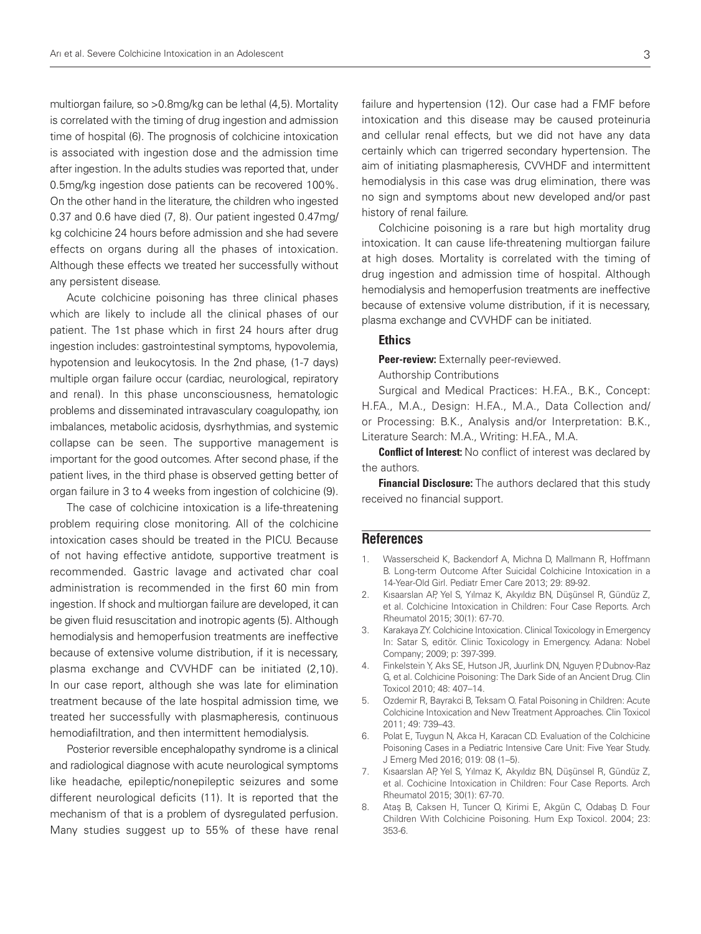multiorgan failure, so >0.8mg/kg can be lethal (4,5). Mortality is correlated with the timing of drug ingestion and admission time of hospital (6). The prognosis of colchicine intoxication is associated with ingestion dose and the admission time after ingestion. In the adults studies was reported that, under 0.5mg/kg ingestion dose patients can be recovered 100%. On the other hand in the literature, the children who ingested 0.37 and 0.6 have died (7, 8). Our patient ingested 0.47mg/ kg colchicine 24 hours before admission and she had severe effects on organs during all the phases of intoxication. Although these effects we treated her successfully without any persistent disease.

Acute colchicine poisoning has three clinical phases which are likely to include all the clinical phases of our patient. The 1st phase which in first 24 hours after drug ingestion includes: gastrointestinal symptoms, hypovolemia, hypotension and leukocytosis. In the 2nd phase, (1-7 days) multiple organ failure occur (cardiac, neurological, repiratory and renal). In this phase unconsciousness, hematologic problems and disseminated intravasculary coagulopathy, ion imbalances, metabolic acidosis, dysrhythmias, and systemic collapse can be seen. The supportive management is important for the good outcomes. After second phase, if the patient lives, in the third phase is observed getting better of organ failure in 3 to 4 weeks from ingestion of colchicine (9).

The case of colchicine intoxication is a life-threatening problem requiring close monitoring. All of the colchicine intoxication cases should be treated in the PICU. Because of not having effective antidote, supportive treatment is recommended. Gastric lavage and activated char coal administration is recommended in the first 60 min from ingestion. If shock and multiorgan failure are developed, it can be given fluid resuscitation and inotropic agents (5). Although hemodialysis and hemoperfusion treatments are ineffective because of extensive volume distribution, if it is necessary, plasma exchange and CVVHDF can be initiated (2,10). In our case report, although she was late for elimination treatment because of the late hospital admission time, we treated her successfully with plasmapheresis, continuous hemodiafiltration, and then intermittent hemodialysis.

Posterior reversible encephalopathy syndrome is a clinical and radiological diagnose with acute neurological symptoms like headache, epileptic/nonepileptic seizures and some different neurological deficits (11). It is reported that the mechanism of that is a problem of dysregulated perfusion. Many studies suggest up to 55% of these have renal

failure and hypertension (12). Our case had a FMF before intoxication and this disease may be caused proteinuria and cellular renal effects, but we did not have any data certainly which can trigerred secondary hypertension. The aim of initiating plasmapheresis, CVVHDF and intermittent hemodialysis in this case was drug elimination, there was no sign and symptoms about new developed and/or past history of renal failure.

Colchicine poisoning is a rare but high mortality drug intoxication. It can cause life-threatening multiorgan failure at high doses. Mortality is correlated with the timing of drug ingestion and admission time of hospital. Although hemodialysis and hemoperfusion treatments are ineffective because of extensive volume distribution, if it is necessary, plasma exchange and CVVHDF can be initiated.

### Ethics

Peer-review: Externally peer-reviewed.

Authorship Contributions

Surgical and Medical Practices: H.F.A., B.K., Concept: H.F.A., M.A., Design: H.F.A., M.A., Data Collection and/ or Processing: B.K., Analysis and/or Interpretation: B.K., Literature Search: M.A., Writing: H.F.A., M.A.

**Conflict of Interest:** No conflict of interest was declared by the authors.

Financial Disclosure: The authors declared that this study received no financial support.

### **References**

- 1. Wasserscheid K, Backendorf A, Michna D, Mallmann R, Hoffmann B. Long-term Outcome After Suicidal Colchicine Intoxication in a 14-Year-Old Girl. Pediatr Emer Care 2013; 29: 89-92.
- 2. Kısaarslan AP, Yel S, Yılmaz K, Akyıldız BN, Düşünsel R, Gündüz Z, et al. Colchicine Intoxication in Children: Four Case Reports. Arch Rheumatol 2015; 30(1): 67-70.
- 3. Karakaya ZY. Colchicine Intoxication. Clinical Toxicology in Emergency In: Satar S, editör. Clinic Toxicology in Emergency. Adana: Nobel Company; 2009; p: 397-399.
- 4. Finkelstein Y, Aks SE, Hutson JR, Juurlink DN, Nguyen P, Dubnov-Raz G, et al. Colchicine Poisoning: The Dark Side of an Ancient Drug. Clin Toxicol 2010; 48: 407–14.
- 5. Ozdemir R, Bayrakci B, Teksam O. Fatal Poisoning in Children: Acute Colchicine Intoxication and New Treatment Approaches. Clin Toxicol 2011; 49: 739–43.
- 6. Polat E, Tuygun N, Akca H, Karacan CD. Evaluation of the Colchicine Poisoning Cases in a Pediatric Intensive Care Unit: Five Year Study. J Emerg Med 2016; 019: 08 (1–5).
- 7. Kısaarslan AP, Yel S, Yılmaz K, Akyıldız BN, Düşünsel R, Gündüz Z, et al. Cochicine Intoxication in Children: Four Case Reports. Arch Rheumatol 2015; 30(1): 67-70.
- 8. Ataş B, Caksen H, Tuncer O, Kirimi E, Akgün C, Odabaş D. Four Children With Colchicine Poisoning. Hum Exp Toxicol. 2004; 23: 353-6.